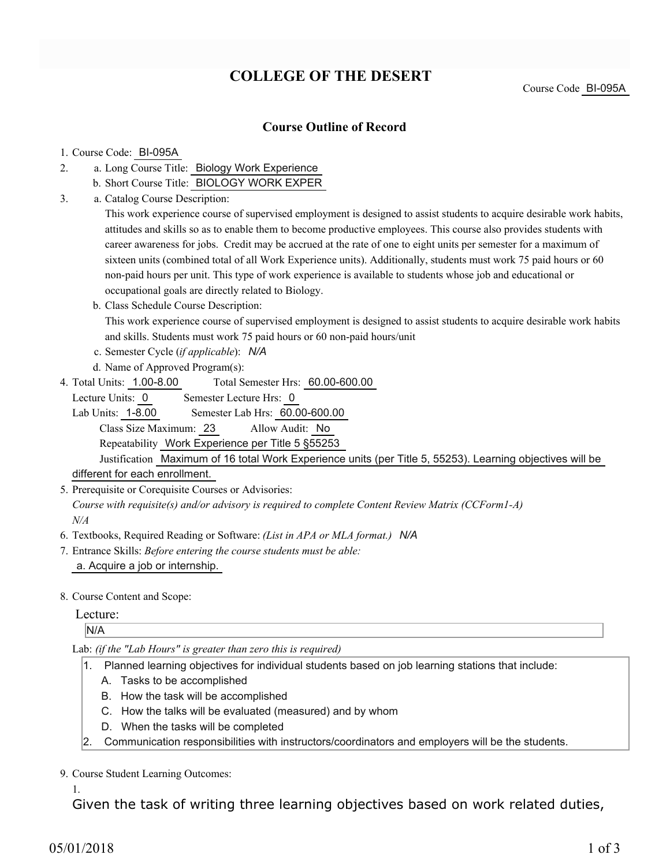# **COLLEGE OF THE DESERT**

Course Code BI-095A

### **Course Outline of Record**

#### 1. Course Code: BI-095A

- a. Long Course Title: Biology Work Experience 2.
	- b. Short Course Title: BIOLOGY WORK EXPER
- Catalog Course Description: a. 3.

This work experience course of supervised employment is designed to assist students to acquire desirable work habits, attitudes and skills so as to enable them to become productive employees. This course also provides students with career awareness for jobs. Credit may be accrued at the rate of one to eight units per semester for a maximum of sixteen units (combined total of all Work Experience units). Additionally, students must work 75 paid hours or 60 non-paid hours per unit. This type of work experience is available to students whose job and educational or occupational goals are directly related to Biology.

b. Class Schedule Course Description:

This work experience course of supervised employment is designed to assist students to acquire desirable work habits and skills. Students must work 75 paid hours or 60 non-paid hours/unit

- c. Semester Cycle (*if applicable*): *N/A*
- d. Name of Approved Program(s):
- Total Semester Hrs: 60.00-600.00 4. Total Units: 1.00-8.00

Lecture Units: 0 Semester Lecture Hrs: 0

Lab Units: 1-8.00 Semester Lab Hrs: 60.00-600.00 Class Size Maximum: 23 Allow Audit: No

Repeatability Work Experience per Title 5 §55253

Justification Maximum of 16 total Work Experience units (per Title 5, 55253). Learning objectives will be different for each enrollment.

5. Prerequisite or Corequisite Courses or Advisories:

*Course with requisite(s) and/or advisory is required to complete Content Review Matrix (CCForm1-A) N/A*

- 6. Textbooks, Required Reading or Software: *(List in APA or MLA format.) N/A*
- Entrance Skills: *Before entering the course students must be able:* 7. a. Acquire a job or internship.
- 8. Course Content and Scope:

#### Lecture:

N/A

Lab: *(if the "Lab Hours" is greater than zero this is required)*

- 1. Planned learning objectives for individual students based on job learning stations that include:
	- A. Tasks to be accomplished
	- B. How the task will be accomplished
	- C. How the talks will be evaluated (measured) and by whom
	- D. When the tasks will be completed
- 2. Communication responsibilities with instructors/coordinators and employers will be the students.

9. Course Student Learning Outcomes:

1.

Given the task of writing three learning objectives based on work related duties,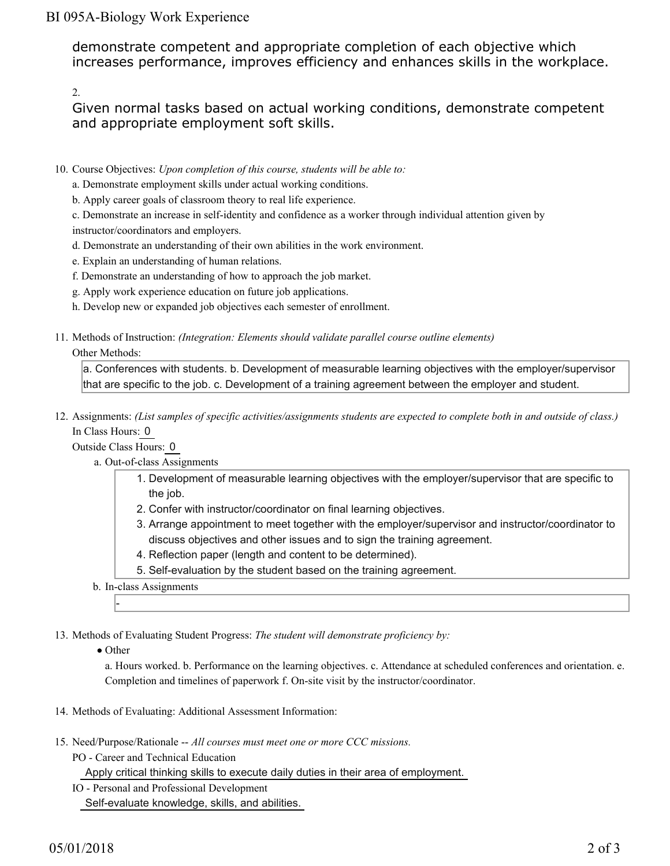## BI 095A-Biology Work Experience

demonstrate competent and appropriate completion of each objective which increases performance, improves efficiency and enhances skills in the workplace.

2.

Given normal tasks based on actual working conditions, demonstrate competent and appropriate employment soft skills.

- 10. Course Objectives: Upon completion of this course, students will be able to:
	- a. Demonstrate employment skills under actual working conditions.
	- b. Apply career goals of classroom theory to real life experience.

c. Demonstrate an increase in self-identity and confidence as a worker through individual attention given by instructor/coordinators and employers.

- d. Demonstrate an understanding of their own abilities in the work environment.
- e. Explain an understanding of human relations.
- f. Demonstrate an understanding of how to approach the job market.
- g. Apply work experience education on future job applications.
- h. Develop new or expanded job objectives each semester of enrollment.
- Methods of Instruction: *(Integration: Elements should validate parallel course outline elements)* 11.

#### Other Methods:

a. Conferences with students. b. Development of measurable learning objectives with the employer/supervisor that are specific to the job. c. Development of a training agreement between the employer and student.

12. Assignments: (List samples of specific activities/assignments students are expected to complete both in and outside of class.) In Class Hours: 0

Outside Class Hours: 0

- a. Out-of-class Assignments
	- 1. Development of measurable learning objectives with the employer/supervisor that are specific to the job.
	- 2. Confer with instructor/coordinator on final learning objectives.
	- Arrange appointment to meet together with the employer/supervisor and instructor/coordinator to 3. discuss objectives and other issues and to sign the training agreement.
	- 4. Reflection paper (length and content to be determined).
	- 5. Self-evaluation by the student based on the training agreement.
- b. In-class Assignments

13. Methods of Evaluating Student Progress: The student will demonstrate proficiency by:

• Other

-

a. Hours worked. b. Performance on the learning objectives. c. Attendance at scheduled conferences and orientation. e. Completion and timelines of paperwork f. On-site visit by the instructor/coordinator.

- 14. Methods of Evaluating: Additional Assessment Information:
- 15. Need/Purpose/Rationale -- All courses must meet one or more CCC missions.
	- PO Career and Technical Education

Apply critical thinking skills to execute daily duties in their area of employment.

IO - Personal and Professional Development

Self-evaluate knowledge, skills, and abilities.